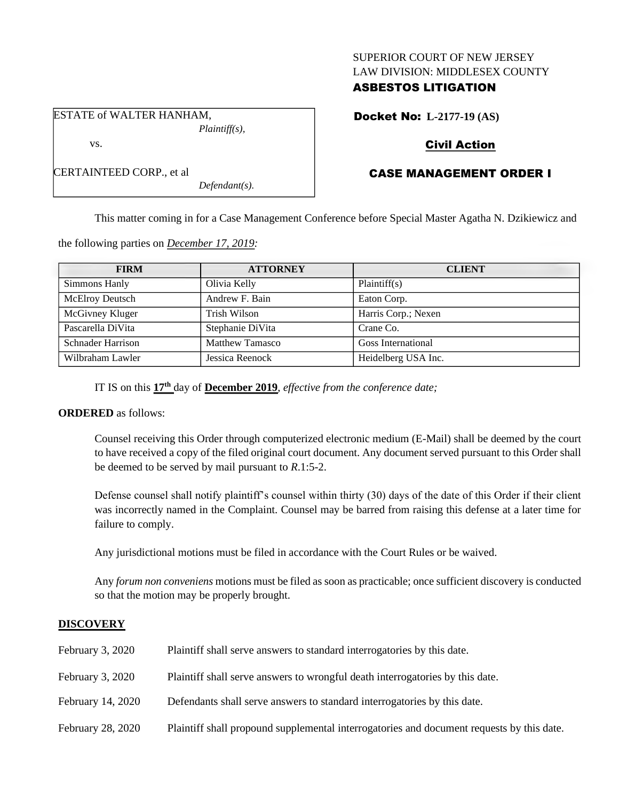### SUPERIOR COURT OF NEW JERSEY LAW DIVISION: MIDDLESEX COUNTY

## ASBESTOS LITIGATION

Docket No: **L-2177-19 (AS)**

## Civil Action

# CASE MANAGEMENT ORDER I

This matter coming in for a Case Management Conference before Special Master Agatha N. Dzikiewicz and

the following parties on *December 17, 2019:*

| <b>FIRM</b>              | <b>ATTORNEY</b>        | <b>CLIENT</b>             |
|--------------------------|------------------------|---------------------------|
| Simmons Hanly            | Olivia Kelly           | Plaintiff(s)              |
| <b>McElroy Deutsch</b>   | Andrew F. Bain         | Eaton Corp.               |
| McGivney Kluger          | Trish Wilson           | Harris Corp.; Nexen       |
| Pascarella DiVita        | Stephanie DiVita       | Crane Co.                 |
| <b>Schnader Harrison</b> | <b>Matthew Tamasco</b> | <b>Goss International</b> |
| Wilbraham Lawler         | Jessica Reenock        | Heidelberg USA Inc.       |

IT IS on this **17th** day of **December 2019**, *effective from the conference date;*

*Defendant(s).*

## **ORDERED** as follows:

Counsel receiving this Order through computerized electronic medium (E-Mail) shall be deemed by the court to have received a copy of the filed original court document. Any document served pursuant to this Order shall be deemed to be served by mail pursuant to *R*.1:5-2.

Defense counsel shall notify plaintiff's counsel within thirty (30) days of the date of this Order if their client was incorrectly named in the Complaint. Counsel may be barred from raising this defense at a later time for failure to comply.

Any jurisdictional motions must be filed in accordance with the Court Rules or be waived.

Any *forum non conveniens* motions must be filed as soon as practicable; once sufficient discovery is conducted so that the motion may be properly brought.

## **DISCOVERY**

| <b>February 3, 2020</b> | Plaintiff shall serve answers to standard interrogatories by this date.                   |
|-------------------------|-------------------------------------------------------------------------------------------|
| <b>February 3, 2020</b> | Plaintiff shall serve answers to wrongful death interrogatories by this date.             |
| February 14, 2020       | Defendants shall serve answers to standard interrogatories by this date.                  |
| February 28, 2020       | Plaintiff shall propound supplemental interrogatories and document requests by this date. |

ESTATE of WALTER HANHAM, *Plaintiff(s),* vs.

| CERTAINTEED CORP., et al |  |
|--------------------------|--|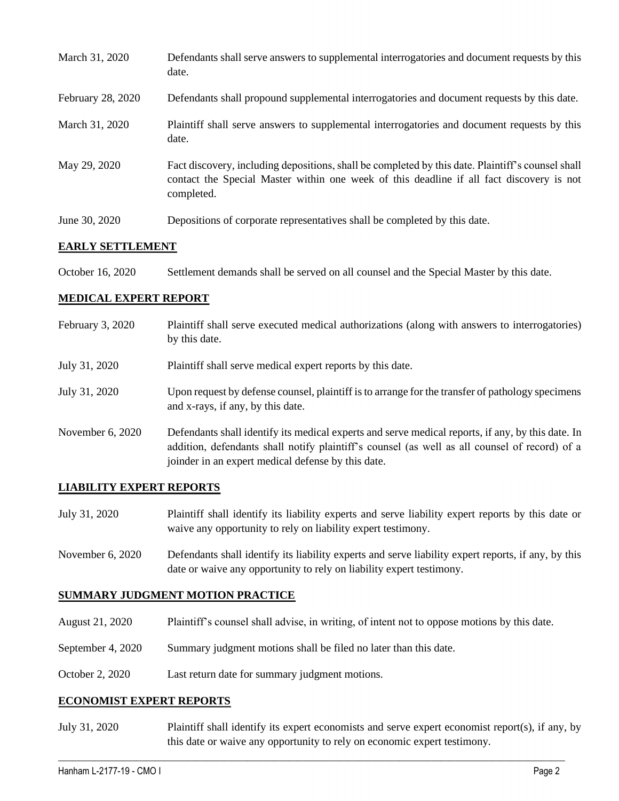| March 31, 2020    | Defendants shall serve answers to supplemental interrogatories and document requests by this<br>date.                                                                                                       |
|-------------------|-------------------------------------------------------------------------------------------------------------------------------------------------------------------------------------------------------------|
| February 28, 2020 | Defendants shall propound supplemental interrogatories and document requests by this date.                                                                                                                  |
| March 31, 2020    | Plaintiff shall serve answers to supplemental interrogatories and document requests by this<br>date.                                                                                                        |
| May 29, 2020      | Fact discovery, including depositions, shall be completed by this date. Plaintiff's counsel shall<br>contact the Special Master within one week of this deadline if all fact discovery is not<br>completed. |
| June 30, 2020     | Depositions of corporate representatives shall be completed by this date.                                                                                                                                   |

### **EARLY SETTLEMENT**

| October 16, 2020 | Settlement demands shall be served on all counsel and the Special Master by this date. |  |  |  |
|------------------|----------------------------------------------------------------------------------------|--|--|--|
|------------------|----------------------------------------------------------------------------------------|--|--|--|

### **MEDICAL EXPERT REPORT**

| February 3, 2020   | Plaintiff shall serve executed medical authorizations (along with answers to interrogatories)<br>by this date.                                                                                                                                           |
|--------------------|----------------------------------------------------------------------------------------------------------------------------------------------------------------------------------------------------------------------------------------------------------|
| July 31, 2020      | Plaintiff shall serve medical expert reports by this date.                                                                                                                                                                                               |
| July 31, 2020      | Upon request by defense counsel, plaintiff is to arrange for the transfer of pathology specimens<br>and x-rays, if any, by this date.                                                                                                                    |
| November $6, 2020$ | Defendants shall identify its medical experts and serve medical reports, if any, by this date. In<br>addition, defendants shall notify plaintiff's counsel (as well as all counsel of record) of a<br>joinder in an expert medical defense by this date. |

## **LIABILITY EXPERT REPORTS**

- July 31, 2020 Plaintiff shall identify its liability experts and serve liability expert reports by this date or waive any opportunity to rely on liability expert testimony.
- November 6, 2020 Defendants shall identify its liability experts and serve liability expert reports, if any, by this date or waive any opportunity to rely on liability expert testimony.

## **SUMMARY JUDGMENT MOTION PRACTICE**

- August 21, 2020 Plaintiff's counsel shall advise, in writing, of intent not to oppose motions by this date.
- September 4, 2020 Summary judgment motions shall be filed no later than this date.
- October 2, 2020 Last return date for summary judgment motions.

#### **ECONOMIST EXPERT REPORTS**

July 31, 2020 Plaintiff shall identify its expert economists and serve expert economist report(s), if any, by this date or waive any opportunity to rely on economic expert testimony.

 $\_$  , and the set of the set of the set of the set of the set of the set of the set of the set of the set of the set of the set of the set of the set of the set of the set of the set of the set of the set of the set of th